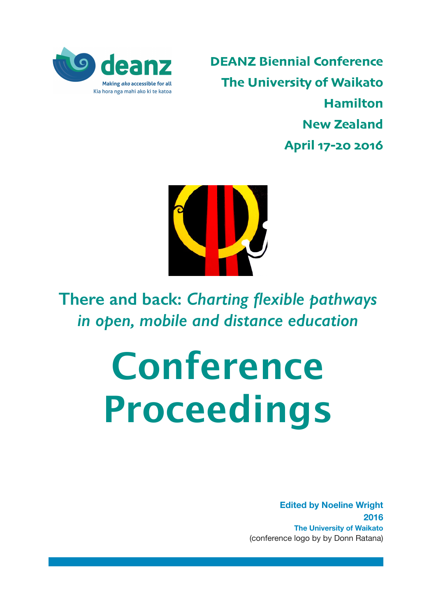

**DEANZ Biennial Conference The University of Waikato Hamilton New Zealand April 17-20 2016**



**There and back:** *Charting flexible pathways in open, mobile and distance education*

# **Conference** Proceedings

**Edited by Noeline Wright 2016 The University of Waikato**  (conference logo by by Donn Ratana)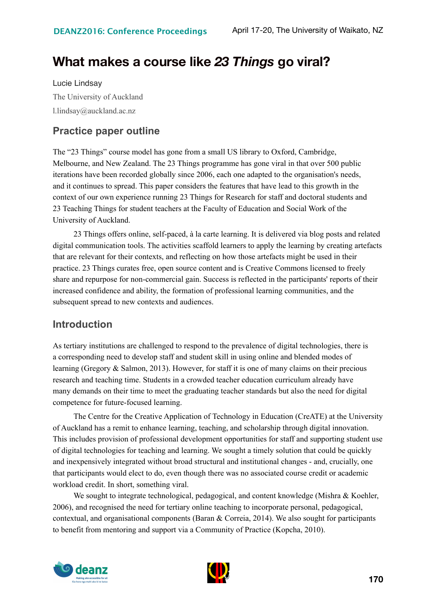# **What makes a course like** *23 Things* **go viral?**

Lucie Lindsay The University of Auckland l.lindsay@auckland.ac.nz

## **Practice paper outline**

The "23 Things" course model has gone from a small US library to Oxford, Cambridge, Melbourne, and New Zealand. The 23 Things programme has gone viral in that over 500 public iterations have been recorded globally since 2006, each one adapted to the organisation's needs, and it continues to spread. This paper considers the features that have lead to this growth in the context of our own experience running 23 Things for Research for staff and doctoral students and 23 Teaching Things for student teachers at the Faculty of Education and Social Work of the University of Auckland.

23 Things offers online, self-paced, à la carte learning. It is delivered via blog posts and related digital communication tools. The activities scaffold learners to apply the learning by creating artefacts that are relevant for their contexts, and reflecting on how those artefacts might be used in their practice. 23 Things curates free, open source content and is Creative Commons licensed to freely share and repurpose for non-commercial gain. Success is reflected in the participants' reports of their increased confidence and ability, the formation of professional learning communities, and the subsequent spread to new contexts and audiences.

### **Introduction**

As tertiary institutions are challenged to respond to the prevalence of digital technologies, there is a corresponding need to develop staff and student skill in using online and blended modes of learning (Gregory & Salmon, 2013). However, for staff it is one of many claims on their precious research and teaching time. Students in a crowded teacher education curriculum already have many demands on their time to meet the graduating teacher standards but also the need for digital competence for future-focused learning.

The Centre for the Creative Application of Technology in Education (CreATE) at the University of Auckland has a remit to enhance learning, teaching, and scholarship through digital innovation. This includes provision of professional development opportunities for staff and supporting student use of digital technologies for teaching and learning. We sought a timely solution that could be quickly and inexpensively integrated without broad structural and institutional changes - and, crucially, one that participants would elect to do, even though there was no associated course credit or academic workload credit. In short, something viral.

We sought to integrate technological, pedagogical, and content knowledge (Mishra & Koehler, 2006), and recognised the need for tertiary online teaching to incorporate personal, pedagogical, contextual, and organisational components (Baran & Correia, 2014). We also sought for participants to benefit from mentoring and support via a Community of Practice (Kopcha, 2010).



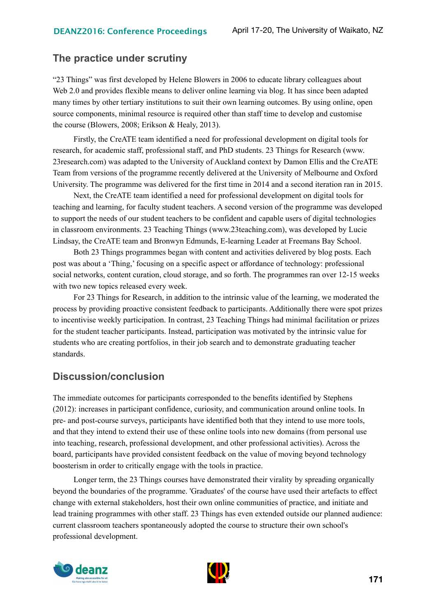#### **The practice under scrutiny**

"23 Things" was first developed by Helene Blowers in 2006 to educate library colleagues about Web 2.0 and provides flexible means to deliver online learning via blog. It has since been adapted many times by other tertiary institutions to suit their own learning outcomes. By using online, open source components, minimal resource is required other than staff time to develop and customise the course (Blowers, 2008; Erikson & Healy, 2013).

Firstly, the CreATE team identified a need for professional development on digital tools for research, for academic staff, professional staff, and PhD students. 23 Things for Research (www. 23research.com) was adapted to the University of Auckland context by Damon Ellis and the CreATE Team from versions of the programme recently delivered at the University of Melbourne and Oxford University. The programme was delivered for the first time in 2014 and a second iteration ran in 2015.

Next, the CreATE team identified a need for professional development on digital tools for teaching and learning, for faculty student teachers. A second version of the programme was developed to support the needs of our student teachers to be confident and capable users of digital technologies in classroom environments. 23 Teaching Things (www.23teaching.com), was developed by Lucie Lindsay, the CreATE team and Bronwyn Edmunds, E-learning Leader at Freemans Bay School.

Both 23 Things programmes began with content and activities delivered by blog posts. Each post was about a 'Thing,' focusing on a specific aspect or affordance of technology: professional social networks, content curation, cloud storage, and so forth. The programmes ran over 12-15 weeks with two new topics released every week.

For 23 Things for Research, in addition to the intrinsic value of the learning, we moderated the process by providing proactive consistent feedback to participants. Additionally there were spot prizes to incentivise weekly participation. In contrast, 23 Teaching Things had minimal facilitation or prizes for the student teacher participants. Instead, participation was motivated by the intrinsic value for students who are creating portfolios, in their job search and to demonstrate graduating teacher standards.

#### **Discussion/conclusion**

The immediate outcomes for participants corresponded to the benefits identified by Stephens (2012): increases in participant confidence, curiosity, and communication around online tools. In pre- and post-course surveys, participants have identified both that they intend to use more tools, and that they intend to extend their use of these online tools into new domains (from personal use into teaching, research, professional development, and other professional activities). Across the board, participants have provided consistent feedback on the value of moving beyond technology boosterism in order to critically engage with the tools in practice.

Longer term, the 23 Things courses have demonstrated their virality by spreading organically beyond the boundaries of the programme. 'Graduates' of the course have used their artefacts to effect change with external stakeholders, host their own online communities of practice, and initiate and lead training programmes with other staff. 23 Things has even extended outside our planned audience: current classroom teachers spontaneously adopted the course to structure their own school's professional development.